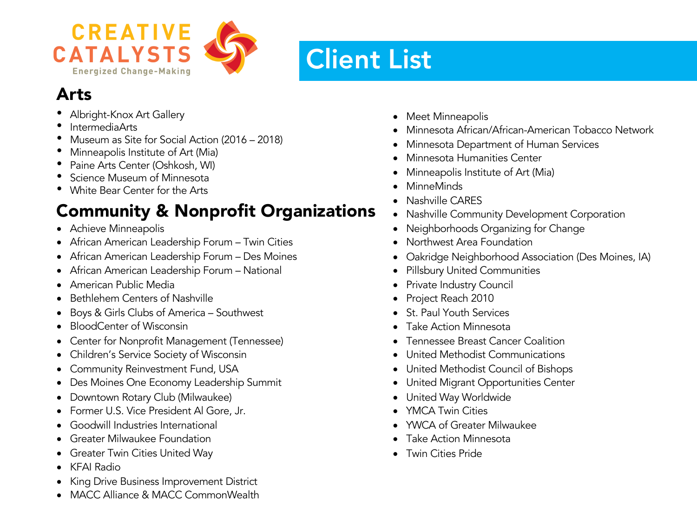

# Client List

# Arts

- Albright-Knox Art Gallery
- IntermediaArts
- Museum as Site for Social Action (2016 2018)
- Minneapolis Institute of Art (Mia)
- Paine Arts Center (Oshkosh, WI)
- Science Museum of Minnesota
- White Bear Center for the Arts

# Community & Nonprofit Organizations

- Achieve Minneapolis
- African American Leadership Forum Twin Cities
- African American Leadership Forum Des Moines
- African American Leadership Forum National
- American Public Media
- Bethlehem Centers of Nashville
- Boys & Girls Clubs of America Southwest
- BloodCenter of Wisconsin
- Center for Nonprofit Management (Tennessee)
- Children's Service Society of Wisconsin
- Community Reinvestment Fund, USA
- Des Moines One Economy Leadership Summit
- Downtown Rotary Club (Milwaukee)
- Former U.S. Vice President Al Gore, Jr.
- Goodwill Industries International
- Greater Milwaukee Foundation
- Greater Twin Cities United Way
- KFAI Radio
- King Drive Business Improvement District
- MACC Alliance & MACC CommonWealth
- Meet Minneapolis
- Minnesota African/African-American Tobacco Network
- Minnesota Department of Human Services
- Minnesota Humanities Center
- Minneapolis Institute of Art (Mia)
- MinneMinds
- Nashville CARES
- Nashville Community Development Corporation
- Neighborhoods Organizing for Change
- Northwest Area Foundation
- Oakridge Neighborhood Association (Des Moines, IA)
- Pillsbury United Communities
- Private Industry Council
- Project Reach 2010
- St. Paul Youth Services
- Take Action Minnesota
- Tennessee Breast Cancer Coalition
- United Methodist Communications
- United Methodist Council of Bishops
- United Migrant Opportunities Center
- United Way Worldwide
- YMCA Twin Cities
- YWCA of Greater Milwaukee
- Take Action Minnesota
- Twin Cities Pride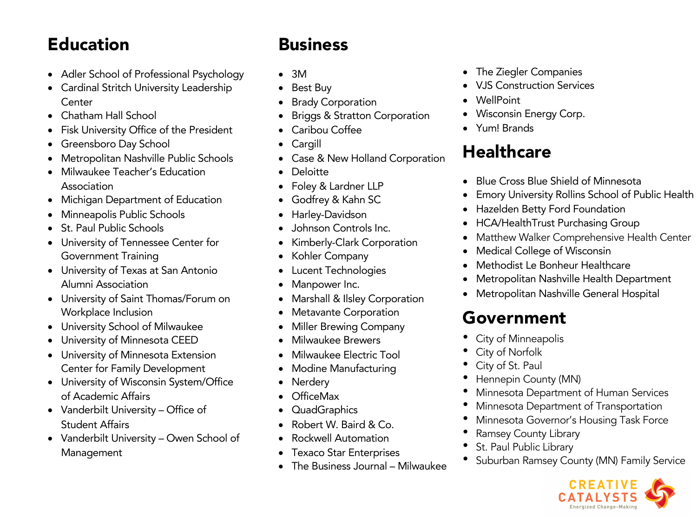#### Education

- Adler School of Professional Psychology
- Cardinal Stritch University Leadership **Center**
- Chatham Hall School
- Fisk University Office of the President
- Greensboro Day School
- Metropolitan Nashville Public Schools
- Milwaukee Teacher's Education Association
- Michigan Department of Education
- Minneapolis Public Schools
- St. Paul Public Schools
- University of Tennessee Center for Government Training
- University of Texas at San Antonio Alumni Association
- University of Saint Thomas/Forum on Workplace Inclusion
- University School of Milwaukee
- University of Minnesota CEED
- University of Minnesota Extension Center for Family Development
- University of Wisconsin System/Office of Academic Affairs
- Vanderbilt University Office of Student Affairs
- Vanderbilt University Owen School of Management

# Business

- 3M
- Best Buy
- **Brady Corporation**
- Briggs & Stratton Corporation
- Caribou Coffee
- Cargill
- Case & New Holland Corporation
- Deloitte
- Foley & Lardner LLP
- Godfrey & Kahn SC
- Harley-Davidson
- Johnson Controls Inc.
- Kimberly-Clark Corporation
- Kohler Company
- Lucent Technologies
- Manpower Inc.
- Marshall & Ilsley Corporation
- Metavante Corporation
- Miller Brewing Company
- Milwaukee Brewers
- Milwaukee Electric Tool
- Modine Manufacturing
- Nerdery
- OfficeMax
- QuadGraphics
- Robert W. Baird & Co.
- Rockwell Automation
- Texaco Star Enterprises
- The Business Journal Milwaukee
- The Ziegler Companies
- VJS Construction Services
- WellPoint
- Wisconsin Energy Corp.
- Yum! Brands

# **Healthcare**

- Blue Cross Blue Shield of Minnesota
- Emory University Rollins School of Public Health
- Hazelden Betty Ford Foundation
- HCA/HealthTrust Purchasing Group
- Matthew Walker Comprehensive Health Center
- Medical College of Wisconsin
- Methodist Le Bonheur Healthcare
- Metropolitan Nashville Health Department
- Metropolitan Nashville General Hospital

## Government

- City of Minneapolis
- City of Norfolk
- City of St. Paul
- Hennepin County (MN)
- Minnesota Department of Human Services
- Minnesota Department of Transportation
- Minnesota Governor's Housing Task Force
- Ramsey County Library
- St. Paul Public Library
- Suburban Ramsey County (MN) Family Service